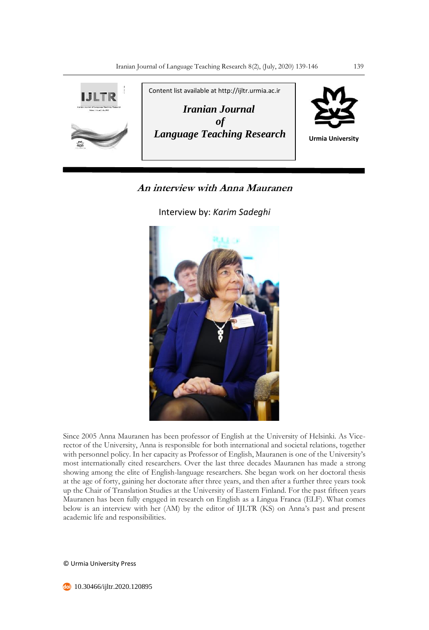

# **An interview with Anna Mauranen**

Interview by: *Karim Sadeghi*



Since 2005 Anna Mauranen has been professor of English at the University of Helsinki. As Vicerector of the University, Anna is responsible for both international and societal relations, together with personnel policy. In her capacity as Professor of English, Mauranen is one of the University's most internationally cited researchers. Over the last three decades Mauranen has made a strong showing among the elite of English-language researchers. She began work on her doctoral thesis at the age of forty, gaining her doctorate after three years, and then after a further three years took up the Chair of Translation Studies at the University of Eastern Finland. For the past fifteen years Mauranen has been fully engaged in research on English as a Lingua Franca (ELF). What comes below is an interview with her (AM) by the editor of IJLTR (KS) on Anna's past and present academic life and responsibilities.

© Urmia University Press

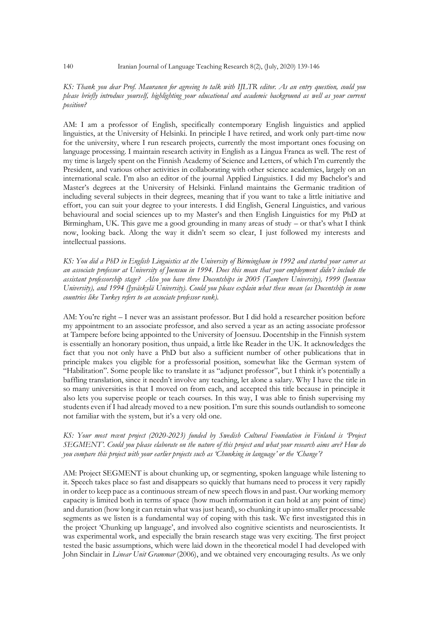## *KS: Thank you dear Prof. Mauranen for agreeing to talk with IJLTR editor. As an entry question, could you please briefly introduce yourself, highlighting your educational and academic background as well as your current position?*

AM: I am a professor of English, specifically contemporary English linguistics and applied linguistics, at the University of Helsinki. In principle I have retired, and work only part-time now for the university, where I run research projects, currently the most important ones focusing on language processing. I maintain research activity in English as a Lingua Franca as well. The rest of my time is largely spent on the Finnish Academy of Science and Letters, of which I'm currently the President, and various other activities in collaborating with other science academies, largely on an international scale. I'm also an editor of the journal Applied Linguistics. I did my Bachelor's and Master's degrees at the University of Helsinki. Finland maintains the Germanic tradition of including several subjects in their degrees, meaning that if you want to take a little initiative and effort, you can suit your degree to your interests. I did English, General Linguistics, and various behavioural and social sciences up to my Master's and then English Linguistics for my PhD at Birmingham, UK. This gave me a good grounding in many areas of study – or that's what I think now, looking back. Along the way it didn't seem so clear, I just followed my interests and intellectual passions.

*KS: You did a PhD in English Linguistics at the University of Birmingham in 1992 and started your career as an associate professor at University of Joensuu in 1994. Does this mean that your employment didn't include the assistant professorship stage? Also you have three Docentships in 2005 (Tampere University), 1999 (Joensuu University), and 1994 (Jyväskylä University). Could you please explain what these mean (as Docentship in some countries like Turkey refers to an associate professor rank).* 

AM: You're right – I never was an assistant professor. But I did hold a researcher position before my appointment to an associate professor, and also served a year as an acting associate professor at Tampere before being appointed to the University of Joensuu. Docentship in the Finnish system is essentially an honorary position, thus unpaid, a little like Reader in the UK. It acknowledges the fact that you not only have a PhD but also a sufficient number of other publications that in principle makes you eligible for a professorial position, somewhat like the German system of "Habilitation". Some people like to translate it as "adjunct professor", but I think it's potentially a baffling translation, since it needn't involve any teaching, let alone a salary. Why I have the title in so many universities is that I moved on from each, and accepted this title because in principle it also lets you supervise people or teach courses. In this way, I was able to finish supervising my students even if I had already moved to a new position. I'm sure this sounds outlandish to someone not familiar with the system, but it's a very old one.

# *KS: Your most recent project (2020-2023) funded by Swedish Cultural Foundation in Finland is 'Project SEGMENT'. Could you please elaborate on the nature of this project and what your research aims are? How do you compare this project with your earlier projects such as 'Chunking in language' or the 'Change'?*

AM: Project SEGMENT is about chunking up, or segmenting, spoken language while listening to it. Speech takes place so fast and disappears so quickly that humans need to process it very rapidly in order to keep pace as a continuous stream of new speech flows in and past. Our working memory capacity is limited both in terms of space (how much information it can hold at any point of time) and duration (how long it can retain what was just heard), so chunking it up into smaller processable segments as we listen is a fundamental way of coping with this task. We first investigated this in the project 'Chunking up language', and involved also cognitive scientists and neuroscientists. It was experimental work, and especially the brain research stage was very exciting. The first project tested the basic assumptions, which were laid down in the theoretical model I had developed with John Sinclair in *Linear Unit Grammar* (2006), and we obtained very encouraging results. As we only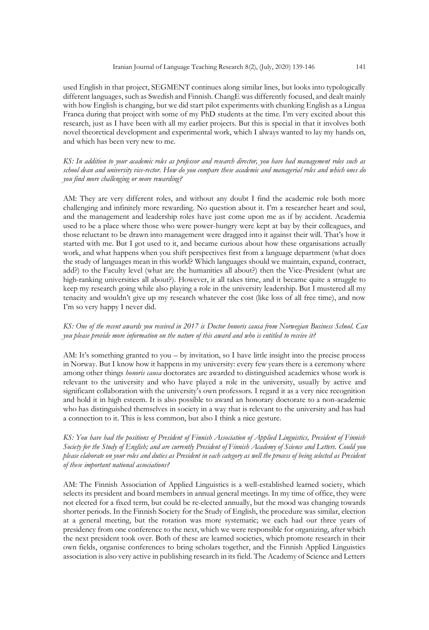used English in that project, SEGMENT continues along similar lines, but looks into typologically different languages, such as Swedish and Finnish. ChangE was differently focused, and dealt mainly with how English is changing, but we did start pilot experiments with chunking English as a Lingua Franca during that project with some of my PhD students at the time. I'm very excited about this research, just as I have been with all my earlier projects. But this is special in that it involves both novel theoretical development and experimental work, which I always wanted to lay my hands on, and which has been very new to me.

*KS: In addition to your academic roles as professor and research director, you have had management roles such as school dean and university vice-rector. How do you compare these academic and managerial roles and which ones do you find more challenging or more rewarding?* 

AM: They are very different roles, and without any doubt I find the academic role both more challenging and infinitely more rewarding. No question about it. I'm a researcher heart and soul, and the management and leadership roles have just come upon me as if by accident. Academia used to be a place where those who were power-hungry were kept at bay by their colleagues, and those reluctant to be drawn into management were dragged into it against their will. That's how it started with me. But I got used to it, and became curious about how these organisations actually work, and what happens when you shift perspectives first from a language department (what does the study of languages mean in this world? Which languages should we maintain, expand, contract, add?) to the Faculty level (what are the humanities all about?) then the Vice-President (what are high-ranking universities all about?). However, it all takes time, and it became quite a struggle to keep my research going while also playing a role in the university leadership. But I mustered all my tenacity and wouldn't give up my research whatever the cost (like loss of all free time), and now I'm so very happy I never did.

# *KS: One of the recent awards you received in 2017 is Doctor honoris causa from Norwegian Business School. Can you please provide more information on the nature of this award and who is entitled to receive it?*

AM: It's something granted to you – by invitation, so I have little insight into the precise process in Norway. But I know how it happens in my university: every few years there is a ceremony where among other things *honoris causa* doctorates are awarded to distinguished academics whose work is relevant to the university and who have played a role in the university, usually by active and significant collaboration with the university's own professors. I regard it as a very nice recognition and hold it in high esteem. It is also possible to award an honorary doctorate to a non-academic who has distinguished themselves in society in a way that is relevant to the university and has had a connection to it. This is less common, but also I think a nice gesture.

# *KS: You have had the positions of President of Finnish Association of Applied Linguistics, President of Finnish Society for the Study of English; and are currently President of Finnish Academy of Science and Letters. Could you please elaborate on your roles and duties as President in each category as well the process of being selected as President of these important national associations?*

AM: The Finnish Association of Applied Linguistics is a well-established learned society, which selects its president and board members in annual general meetings. In my time of office, they were not elected for a fixed term, but could be re-elected annually, but the mood was changing towards shorter periods. In the Finnish Society for the Study of English, the procedure was similar, election at a general meeting, but the rotation was more systematic; we each had our three years of presidency from one conference to the next, which we were responsible for organizing, after which the next president took over. Both of these are learned societies, which promote research in their own fields, organise conferences to bring scholars together, and the Finnish Applied Linguistics association is also very active in publishing research in its field. The Academy of Science and Letters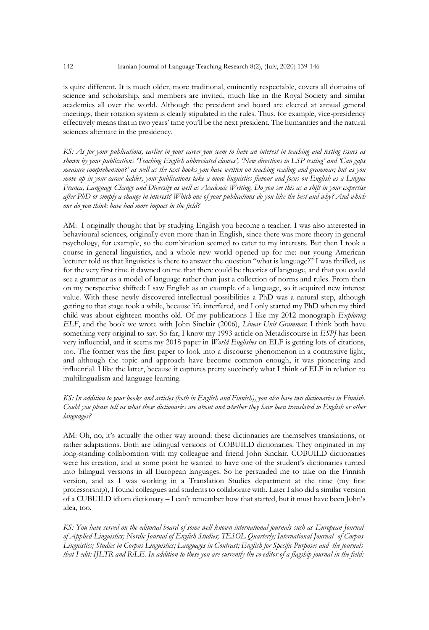is quite different. It is much older, more traditional, eminently respectable, covers all domains of science and scholarship, and members are invited, much like in the Royal Society and similar academies all over the world. Although the president and board are elected at annual general meetings, their rotation system is clearly stipulated in the rules. Thus, for example, vice-presidency effectively means that in two years' time you'll be the next president. The humanities and the natural sciences alternate in the presidency.

*KS: As for your publications, earlier in your career you seem to have an interest in teaching and testing issues as shown by your publications 'Teaching English abbreviated clauses', 'New directions in LSP testing' and 'Can gaps measure comprehension?' as well as the text books you have written on teaching reading and grammar; but as you move up in your career ladder, your publications take a more linguistics flavour and focus on English as a Lingua Franca, Language Change and Diversity as well as Academic Writing. Do you see this as a shift in your expertise after PhD or simply a change in interest? Which one of your publications do you like the best and why? And which one do you think have had more impact in the field?* 

AM: I originally thought that by studying English you become a teacher. I was also interested in behavioural sciences, originally even more than in English, since there was more theory in general psychology, for example, so the combination seemed to cater to my interests. But then I took a course in general linguistics, and a whole new world opened up for me: our young American lecturer told us that linguistics is there to answer the question "what is language?" I was thrilled, as for the very first time it dawned on me that there could be theories of language, and that you could see a grammar as a model of language rather than just a collection of norms and rules. From then on my perspective shifted: I saw English as an example of a language, so it acquired new interest value. With these newly discovered intellectual possibilities a PhD was a natural step, although getting to that stage took a while, because life interfered, and I only started my PhD when my third child was about eighteen months old. Of my publications I like my 2012 monograph *Exploring ELF*, and the book we wrote with John Sinclair (2006), *Linear Unit Grammar*. I think both have something very original to say. So far, I know my 1993 article on Metadiscourse in *ESPJ* has been very influential, and it seems my 2018 paper in *World Englishes* on ELF is getting lots of citations, too. The former was the first paper to look into a discourse phenomenon in a contrastive light, and although the topic and approach have become common enough, it was pioneering and influential. I like the latter, because it captures pretty succinctly what I think of ELF in relation to multilingualism and language learning.

# *KS: In addition to your books and articles (both in English and Finnish), you also have two dictionaries in Finnish. Could you please tell us what these dictionaries are about and whether they have been translated to English or other languages?*

AM: Oh, no, it's actually the other way around: these dictionaries are themselves translations, or rather adaptations. Both are bilingual versions of COBUILD dictionaries. They originated in my long-standing collaboration with my colleague and friend John Sinclair. COBUILD dictionaries were his creation, and at some point he wanted to have one of the student's dictionaries turned into bilingual versions in all European languages. So he persuaded me to take on the Finnish version, and as I was working in a Translation Studies department at the time (my first professorship), I found colleagues and students to collaborate with. Later I also did a similar version of a CUBUILD idiom dictionary – I can't remember how that started, but it must have been John's idea, too.

*KS: You have served on the editorial board of some well known international journals such as European Journal of Applied Linguistics; Nordic Journal of English Studies; TESOL Quarterly; International Journal of Corpus Linguistics; Studies in Corpus Linguistics; Languages in Contrast; English for Specific Purposes and the journals that I edit: IJLTR and RiLE. In addition to these you are currently the co-editor of a flagship journal in the field:*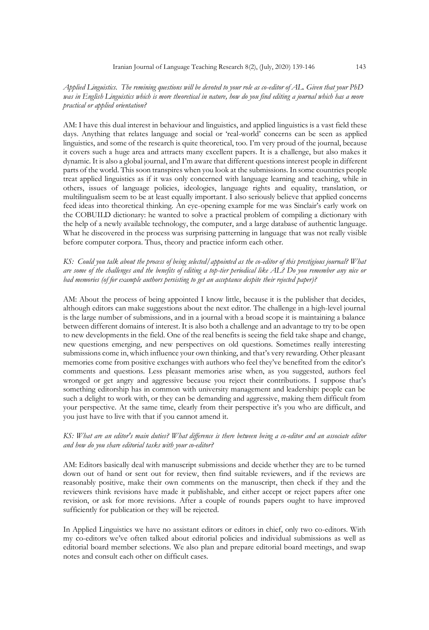# *Applied Linguistics. The remining questions will be devoted to your role as co-editor of AL. Given that your PhD*  was in English Linguistics which is more theoretical in nature, how do you find editing a journal which has a more *practical or applied orientation?*

AM: I have this dual interest in behaviour and linguistics, and applied linguistics is a vast field these days. Anything that relates language and social or 'real-world' concerns can be seen as applied linguistics, and some of the research is quite theoretical, too. I'm very proud of the journal, because it covers such a huge area and attracts many excellent papers. It is a challenge, but also makes it dynamic. It is also a global journal, and I'm aware that different questions interest people in different parts of the world. This soon transpires when you look at the submissions. In some countries people treat applied linguistics as if it was only concerned with language learning and teaching, while in others, issues of language policies, ideologies, language rights and equality, translation, or multilingualism seem to be at least equally important. I also seriously believe that applied concerns feed ideas into theoretical thinking. An eye-opening example for me was Sinclair's early work on the COBUILD dictionary: he wanted to solve a practical problem of compiling a dictionary with the help of a newly available technology, the computer, and a large database of authentic language. What he discovered in the process was surprising patterning in language that was not really visible before computer corpora. Thus, theory and practice inform each other.

*KS: Could you talk about the process of being selected/appointed as the co-editor of this prestigious journal? What are some of the challenges and the benefits of editing a top-tier periodical like AL? Do you remember any nice or bad memories (of for example authors persisting to get an acceptance despite their rejected paper)?* 

AM: About the process of being appointed I know little, because it is the publisher that decides, although editors can make suggestions about the next editor. The challenge in a high-level journal is the large number of submissions, and in a journal with a broad scope it is maintaining a balance between different domains of interest. It is also both a challenge and an advantage to try to be open to new developments in the field. One of the real benefits is seeing the field take shape and change, new questions emerging, and new perspectives on old questions. Sometimes really interesting submissions come in, which influence your own thinking, and that's very rewarding. Other pleasant memories come from positive exchanges with authors who feel they've benefited from the editor's comments and questions. Less pleasant memories arise when, as you suggested, authors feel wronged or get angry and aggressive because you reject their contributions. I suppose that's something editorship has in common with university management and leadership: people can be such a delight to work with, or they can be demanding and aggressive, making them difficult from your perspective. At the same time, clearly from their perspective it's you who are difficult, and you just have to live with that if you cannot amend it.

#### *KS: What are an editor's main duties? What difference is there between being a co-editor and an associate editor and how do you share editorial tasks with your co-editor?*

AM: Editors basically deal with manuscript submissions and decide whether they are to be turned down out of hand or sent out for review, then find suitable reviewers, and if the reviews are reasonably positive, make their own comments on the manuscript, then check if they and the reviewers think revisions have made it publishable, and either accept or reject papers after one revision, or ask for more revisions. After a couple of rounds papers ought to have improved sufficiently for publication or they will be rejected.

In Applied Linguistics we have no assistant editors or editors in chief, only two co-editors. With my co-editors we've often talked about editorial policies and individual submissions as well as editorial board member selections. We also plan and prepare editorial board meetings, and swap notes and consult each other on difficult cases.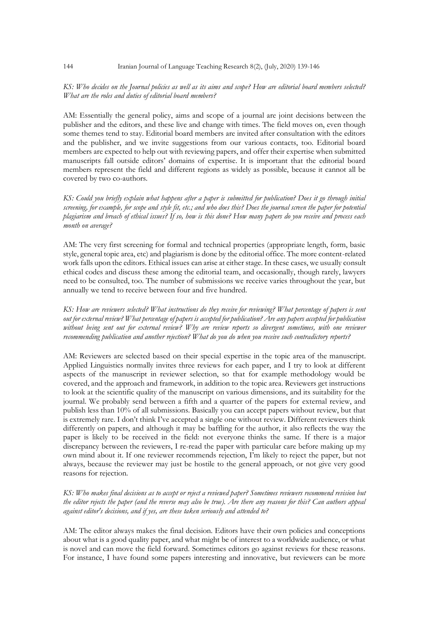### *KS: Who decides on the Journal policies as well as its aims and scope? How are editorial board members selected? What are the roles and duties of editorial board members?*

AM: Essentially the general policy, aims and scope of a journal are joint decisions between the publisher and the editors, and these live and change with times. The field moves on, even though some themes tend to stay. Editorial board members are invited after consultation with the editors and the publisher, and we invite suggestions from our various contacts, too. Editorial board members are expected to help out with reviewing papers, and offer their expertise when submitted manuscripts fall outside editors' domains of expertise. It is important that the editorial board members represent the field and different regions as widely as possible, because it cannot all be covered by two co-authors.

*KS: Could you briefly explain what happens after a paper is submitted for publication? Does it go through initial screening, for example, for scope and style fit, etc.; and who does this? Does the journal screen the paper for potential plagiarism and breach of ethical issues? If so, how is this done? How many papers do you receive and process each month on average?*

AM: The very first screening for formal and technical properties (appropriate length, form, basic style, general topic area, etc) and plagiarism is done by the editorial office. The more content-related work falls upon the editors. Ethical issues can arise at either stage. In these cases, we usually consult ethical codes and discuss these among the editorial team, and occasionally, though rarely, lawyers need to be consulted, too. The number of submissions we receive varies throughout the year, but annually we tend to receive between four and five hundred.

*KS: How are reviewers selected? What instructions do they receive for reviewing? What percentage of papers is sent out for external review? What percentage of papers is accepted for publication? Are any papers accepted for publication without being sent out for external review? Why are review reports so divergent sometimes, with one reviewer recommending publication and another rejection? What do you do when you receive such contradictory reports?* 

AM: Reviewers are selected based on their special expertise in the topic area of the manuscript. Applied Linguistics normally invites three reviews for each paper, and I try to look at different aspects of the manuscript in reviewer selection, so that for example methodology would be covered, and the approach and framework, in addition to the topic area. Reviewers get instructions to look at the scientific quality of the manuscript on various dimensions, and its suitability for the journal. We probably send between a fifth and a quarter of the papers for external review, and publish less than 10% of all submissions. Basically you can accept papers without review, but that is extremely rare. I don't think I've accepted a single one without review. Different reviewers think differently on papers, and although it may be baffling for the author, it also reflects the way the paper is likely to be received in the field: not everyone thinks the same. If there is a major discrepancy between the reviewers, I re-read the paper with particular care before making up my own mind about it. If one reviewer recommends rejection, I'm likely to reject the paper, but not always, because the reviewer may just be hostile to the general approach, or not give very good reasons for rejection.

# *KS: Who makes final decisions as to accept or reject a reviewed paper? Sometimes reviewers recommend revision but the editor rejects the paper (and the reverse may also be true). Are there any reasons for this? Can authors appeal against editor's decisions, and if yes, are these taken seriously and attended to?*

AM: The editor always makes the final decision. Editors have their own policies and conceptions about what is a good quality paper, and what might be of interest to a worldwide audience, or what is novel and can move the field forward. Sometimes editors go against reviews for these reasons. For instance, I have found some papers interesting and innovative, but reviewers can be more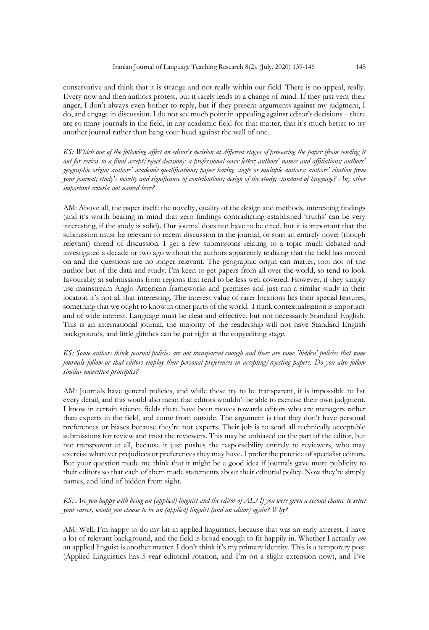conservative and think that it is strange and not really within our field. There is no appeal, really. Every now and then authors protest, but it rarely leads to a change of mind. If they just vent their anger, I don't always even bother to reply, but if they present arguments against my judgment, I do, and engage in discussion. I do not see much point in appealing against editor's decisions – there are so many journals in the field, in any academic field for that matter, that it's much better to try another journal rather than bang your head against the wall of one.

*KS: Which one of the following affect an editor's decision at different stages of processing the paper (from sending it out for review to a final accept/reject decision): a professional cover letter; authors' names and affiliations; authors' geographic origin; authors' academic qualifications; paper having single or multiple authors; authors' citation from your journal; study's novelty and significance of contributions; design of the study; standard of language? Any other important criteria not named here?*

AM: Above all, the paper itself: the novelty, quality of the design and methods, interesting findings (and it's worth bearing in mind that zero findings contradicting established 'truths' can be very interesting, if the study is solid). Our journal does not have to be cited, but it is important that the submission must be relevant to recent discussion in the journal, or start an entirely novel (though relevant) thread of discussion. I get a few submissions relating to a topic much debated and investigated a decade or two ago without the authors apparently realising that the field has moved on and the questions are no longer relevant. The geographic origin can matter, too: not of the author but of the data and study. I'm keen to get papers from all over the world, so tend to look favourably at submissions from regions that tend to be less well covered. However, if they simply use mainstream Anglo-American frameworks and premises and just run a similar study in their location it's not all that interesting. The interest value of rarer locations lies their special features, something that we ought to know in other parts of the world. I think contextualisation is important and of wide interest. Language must be clear and effective, but not necessarily Standard English. This is an international journal, the majority of the readership will not have Standard English backgrounds, and little glitches can be put right at the copyediting stage.

### *KS: Some authors think journal policies are not transparent enough and there are some 'hidden' policies that some journals follow or that editors employ their personal preferences in accepting/rejecting papers. Do you also follow similar unwritten principles?*

AM: Journals have general policies, and while these try to be transparent, it is impossible to list every detail, and this would also mean that editors wouldn't be able to exercise their own judgment. I know in certain science fields there have been moves towards editors who are managers rather than experts in the field, and come from outside. The argument is that they don't have personal preferences or biases because they're not experts. Their job is to send all technically acceptable submissions for review and trust the reviewers. This may be unbiased on the part of the editor, but not transparent at all, because it just pushes the responsibility entirely to reviewers, who may exercise whatever prejudices or preferences they may have. I prefer the practice of specialist editors. But your question made me think that it might be a good idea if journals gave more publicity to their editors so that each of them made statements about their editorial policy. Now they're simply names, and kind of hidden from sight.

#### *KS: Are you happy with being an (applied) linguist and the editor of AL? If you were given a second chance to select your career, would you choose to be an (applied) linguist (and an editor) again? Why?*

AM: Well, I'm happy to do my bit in applied linguistics, because that was an early interest, I have a lot of relevant background, and the field is broad enough to fit happily in. Whether I actually *am* an applied linguist is another matter. I don't think it's my primary identity. This is a temporary post (Applied Linguistics has 5-year editorial rotation, and I'm on a slight extension now), and I've